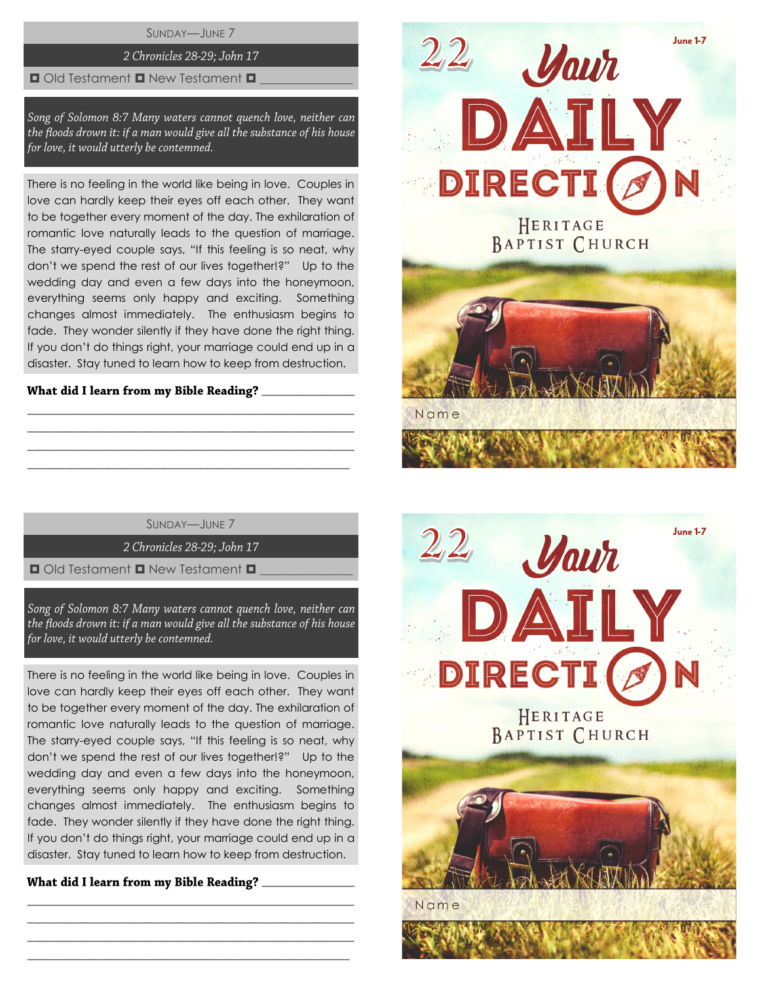SUNDAY—JUNE 7

# 2 Chronicles 28-29; John 17

### $\Box$  Old Testament  $\Box$  New Testament  $\Box$

Song of Solomon 8:7 Many waters cannot quench love, neither can the floods drown it: if a man would give all the substance of his house for love, it would utterly be contemned.

There is no feeling in the world like being in love. Couples in love can hardly keep their eyes off each other. They want to be together every moment of the day. The exhilaration of romantic love naturally leads to the question of marriage. The starry-eyed couple says, "If this feeling is so neat, why don't we spend the rest of our lives together!?" Up to the wedding day and even a few days into the honeymoon, everything seems only happy and exciting. Something changes almost immediately. The enthusiasm begins to fade. They wonder silently if they have done the right thing. If you don't do things right, your marriage could end up in a disaster. Stay tuned to learn how to keep from destruction.

# $\overline{\phantom{a}}$  , we can also the contract of  $\overline{\phantom{a}}$

SUNDAY—JUNE 7

\_\_\_\_\_\_\_\_\_\_\_\_\_\_\_\_\_\_\_\_\_\_\_\_\_\_\_\_\_\_\_\_\_\_\_\_\_\_\_\_\_\_\_\_\_\_\_\_\_\_\_\_ \_\_\_\_\_\_\_\_\_\_\_\_\_\_\_\_\_\_\_\_\_\_\_\_\_\_\_\_\_\_\_\_\_\_\_\_\_\_\_\_\_\_\_\_\_\_\_\_\_\_\_\_ \_\_\_\_\_\_\_\_\_\_\_\_\_\_\_\_\_\_\_\_\_\_\_\_\_\_\_\_\_\_\_\_\_\_\_\_\_\_\_\_\_\_\_\_\_\_\_\_\_\_\_\_  $\_$  , and the set of the set of the set of the set of the set of the set of the set of the set of the set of the set of the set of the set of the set of the set of the set of the set of the set of the set of the set of th

2 Chronicles 28-29; John 17

 $\Box$  Old Testament  $\Box$  New Testament  $\Box$ 

Song of Solomon 8:7 Many waters cannot quench love, neither can the floods drown it: if a man would give all the substance of his house for love, it would utterly be contemned.

There is no feeling in the world like being in love. Couples in love can hardly keep their eyes off each other. They want to be together every moment of the day. The exhilaration of romantic love naturally leads to the question of marriage. The starry-eyed couple says, "If this feeling is so neat, why don't we spend the rest of our lives together!?" Up to the wedding day and even a few days into the honeymoon, everything seems only happy and exciting. Something changes almost immediately. The enthusiasm begins to fade. They wonder silently if they have done the right thing. If you don't do things right, your marriage could end up in a disaster. Stay tuned to learn how to keep from destruction.

\_\_\_\_\_\_\_\_\_\_\_\_\_\_\_\_\_\_\_\_\_\_\_\_\_\_\_\_\_\_\_\_\_\_\_\_\_\_\_\_\_\_\_\_\_\_\_\_\_\_\_\_ \_\_\_\_\_\_\_\_\_\_\_\_\_\_\_\_\_\_\_\_\_\_\_\_\_\_\_\_\_\_\_\_\_\_\_\_\_\_\_\_\_\_\_\_\_\_\_\_\_\_\_\_ \_\_\_\_\_\_\_\_\_\_\_\_\_\_\_\_\_\_\_\_\_\_\_\_\_\_\_\_\_\_\_\_\_\_\_\_\_\_\_\_\_\_\_\_\_\_\_\_\_\_\_\_  $\_$  , and the set of the set of the set of the set of the set of the set of the set of the set of the set of the set of the set of the set of the set of the set of the set of the set of the set of the set of the set of th

 $\overline{\phantom{a}}$  , we can also the contract of  $\overline{\phantom{a}}$ 



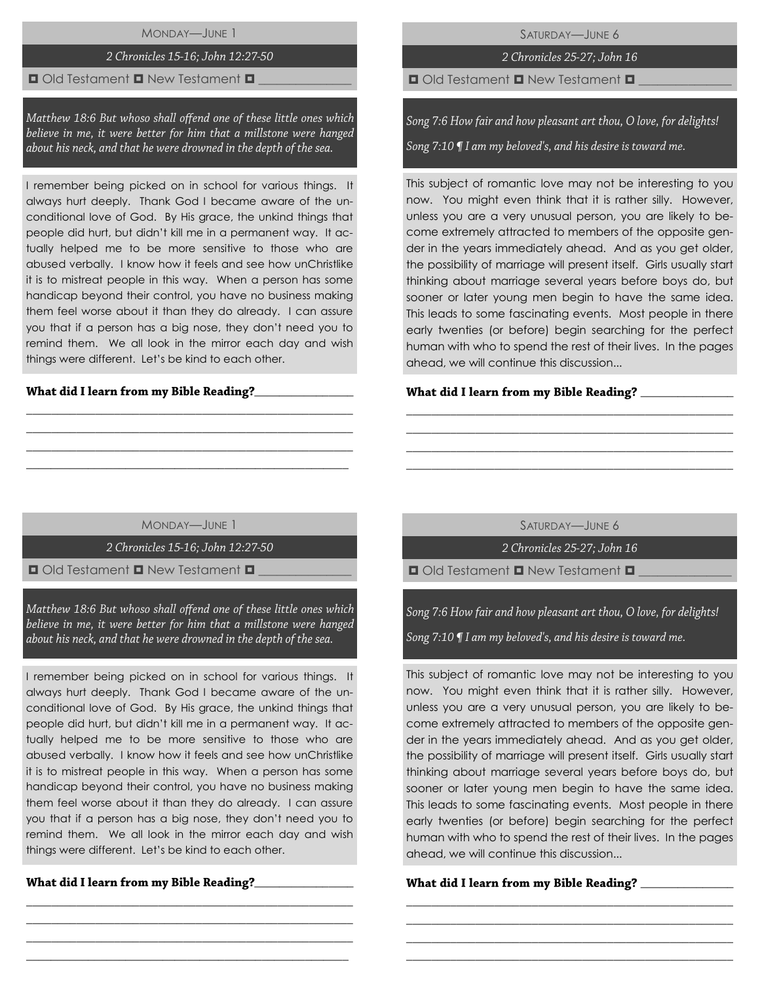# MONDAY—JUNE 1

# 2 Chronicles 15-16; John 12:27-50

### $\Box$  Old Testament  $\Box$  New Testament  $\Box$

Matthew 18:6 But whoso shall offend one of these little ones which believe in me, it were better for him that a millstone were hanged about his neck, and that he were drowned in the depth of the sea.

I remember being picked on in school for various things. It always hurt deeply. Thank God I became aware of the unconditional love of God. By His grace, the unkind things that people did hurt, but didn't kill me in a permanent way. It actually helped me to be more sensitive to those who are abused verbally. I know how it feels and see how unChristlike it is to mistreat people in this way. When a person has some handicap beyond their control, you have no business making them feel worse about it than they do already. I can assure you that if a person has a big nose, they don't need you to remind them. We all look in the mirror each day and wish things were different. Let's be kind to each other.

### What did I learn from my Bible Reading?\_\_

SATURDAY—JUNE 6

2 Chronicles 25-27; John 16

 $\Box$  Old Testament  $\Box$  New Testament  $\Box$ 

Song 7:6 How fair and how pleasant art thou, O love, for delights!

Song  $7:10$   $\P$  I am my beloved's, and his desire is toward me.

This subject of romantic love may not be interesting to you now. You might even think that it is rather silly. However, unless you are a very unusual person, you are likely to become extremely attracted to members of the opposite gender in the years immediately ahead. And as you get older, the possibility of marriage will present itself. Girls usually start thinking about marriage several years before boys do, but sooner or later young men begin to have the same idea. This leads to some fascinating events. Most people in there early twenties (or before) begin searching for the perfect human with who to spend the rest of their lives. In the pages ahead, we will continue this discussion...

#### What did I learn from my Bible Reading? \_\_\_\_

MONDAY—JUNE 1

\_\_\_\_\_\_\_\_\_\_\_\_\_\_\_\_\_\_\_\_\_\_\_\_\_\_\_\_\_\_\_\_\_\_\_\_\_\_\_\_\_\_\_\_\_\_\_\_\_\_\_\_ \_\_\_\_\_\_\_\_\_\_\_\_\_\_\_\_\_\_\_\_\_\_\_\_\_\_\_\_\_\_\_\_\_\_\_\_\_\_\_\_\_\_\_\_\_\_\_\_\_\_\_\_ \_\_\_\_\_\_\_\_\_\_\_\_\_\_\_\_\_\_\_\_\_\_\_\_\_\_\_\_\_\_\_\_\_\_\_\_\_\_\_\_\_\_\_\_\_\_\_\_\_\_\_\_ \_\_\_\_\_\_\_\_\_\_\_\_\_\_\_\_\_\_\_\_\_\_\_\_\_\_\_\_\_\_\_\_\_\_\_\_\_\_\_\_\_\_\_\_\_\_\_\_\_\_\_\_

2 Chronicles 15-16; John 12:27-50

 $\Box$  Old Testament  $\Box$  New Testament  $\Box$ 

Matthew 18:6 But whoso shall offend one of these little ones which believe in me, it were better for him that a millstone were hanged about his neck, and that he were drowned in the depth of the sea.

I remember being picked on in school for various things. It always hurt deeply. Thank God I became aware of the unconditional love of God. By His grace, the unkind things that people did hurt, but didn't kill me in a permanent way. It actually helped me to be more sensitive to those who are abused verbally. I know how it feels and see how unChristlike it is to mistreat people in this way. When a person has some handicap beyond their control, you have no business making them feel worse about it than they do already. I can assure you that if a person has a big nose, they don't need you to remind them. We all look in the mirror each day and wish things were different. Let's be kind to each other.

\_\_\_\_\_\_\_\_\_\_\_\_\_\_\_\_\_\_\_\_\_\_\_\_\_\_\_\_\_\_\_\_\_\_\_\_\_\_\_\_\_\_\_\_\_\_\_\_\_\_\_\_ \_\_\_\_\_\_\_\_\_\_\_\_\_\_\_\_\_\_\_\_\_\_\_\_\_\_\_\_\_\_\_\_\_\_\_\_\_\_\_\_\_\_\_\_\_\_\_\_\_\_\_\_ \_\_\_\_\_\_\_\_\_\_\_\_\_\_\_\_\_\_\_\_\_\_\_\_\_\_\_\_\_\_\_\_\_\_\_\_\_\_\_\_\_\_\_\_\_\_\_\_\_\_\_\_ \_\_\_\_\_\_\_\_\_\_\_\_\_\_\_\_\_\_\_\_\_\_\_\_\_\_\_\_\_\_\_\_\_\_\_\_\_\_\_\_\_\_\_\_\_\_\_\_\_\_\_\_

What did I learn from my Bible Reading?\_\_\_\_

SATURDAY—JUNE 6

\_\_\_\_\_\_\_\_\_\_\_\_\_\_\_\_\_\_\_\_\_\_\_\_\_\_\_\_\_\_\_\_\_\_\_\_\_\_\_\_\_\_\_\_\_\_\_\_\_\_\_\_ \_\_\_\_\_\_\_\_\_\_\_\_\_\_\_\_\_\_\_\_\_\_\_\_\_\_\_\_\_\_\_\_\_\_\_\_\_\_\_\_\_\_\_\_\_\_\_\_\_\_\_\_ \_\_\_\_\_\_\_\_\_\_\_\_\_\_\_\_\_\_\_\_\_\_\_\_\_\_\_\_\_\_\_\_\_\_\_\_\_\_\_\_\_\_\_\_\_\_\_\_\_\_\_\_ \_\_\_\_\_\_\_\_\_\_\_\_\_\_\_\_\_\_\_\_\_\_\_\_\_\_\_\_\_\_\_\_\_\_\_\_\_\_\_\_\_\_\_\_\_\_\_\_\_\_\_\_

2 Chronicles 25-27; John 16

 $\Box$  Old Testament  $\Box$  New Testament  $\Box$ 

Song 7:6 How fair and how pleasant art thou, O love, for delights!

Song 7:10 ¶ I am my beloved's, and his desire is toward me.

This subject of romantic love may not be interesting to you now. You might even think that it is rather silly. However, unless you are a very unusual person, you are likely to become extremely attracted to members of the opposite gender in the years immediately ahead. And as you get older, the possibility of marriage will present itself. Girls usually start thinking about marriage several years before boys do, but sooner or later young men begin to have the same idea. This leads to some fascinating events. Most people in there early twenties (or before) begin searching for the perfect human with who to spend the rest of their lives. In the pages ahead, we will continue this discussion...

\_\_\_\_\_\_\_\_\_\_\_\_\_\_\_\_\_\_\_\_\_\_\_\_\_\_\_\_\_\_\_\_\_\_\_\_\_\_\_\_\_\_\_\_\_\_\_\_\_\_\_\_ \_\_\_\_\_\_\_\_\_\_\_\_\_\_\_\_\_\_\_\_\_\_\_\_\_\_\_\_\_\_\_\_\_\_\_\_\_\_\_\_\_\_\_\_\_\_\_\_\_\_\_\_ \_\_\_\_\_\_\_\_\_\_\_\_\_\_\_\_\_\_\_\_\_\_\_\_\_\_\_\_\_\_\_\_\_\_\_\_\_\_\_\_\_\_\_\_\_\_\_\_\_\_\_\_ \_\_\_\_\_\_\_\_\_\_\_\_\_\_\_\_\_\_\_\_\_\_\_\_\_\_\_\_\_\_\_\_\_\_\_\_\_\_\_\_\_\_\_\_\_\_\_\_\_\_\_\_

# What did I learn from my Bible Reading? \_\_\_\_\_\_\_\_\_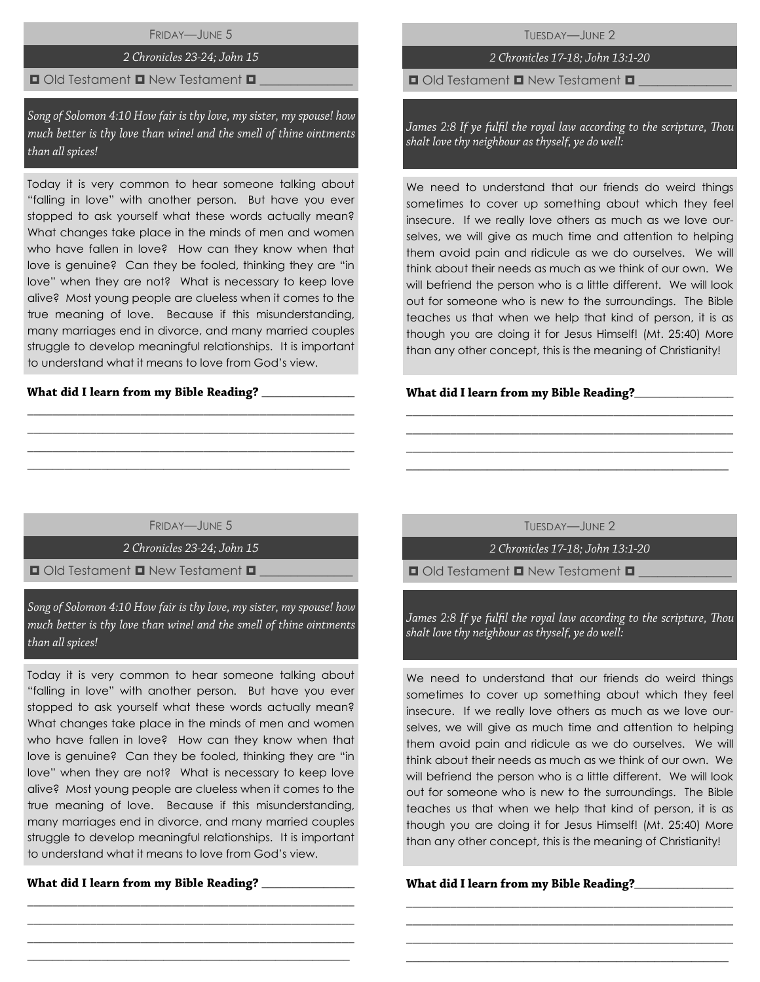FRIDAY—JUNE 5

### 2 Chronicles 23-24; John 15

### $\Box$  Old Testament  $\Box$  New Testament  $\Box$

Song of Solomon 4:10 How fair is thy love, my sister, my spouse! how much better is thy love than wine! and the smell of thine ointments than all spices!

Today it is very common to hear someone talking about "falling in love" with another person. But have you ever stopped to ask yourself what these words actually mean? What changes take place in the minds of men and women who have fallen in love? How can they know when that love is genuine? Can they be fooled, thinking they are "in love" when they are not? What is necessary to keep love alive? Most young people are clueless when it comes to the true meaning of love. Because if this misunderstanding, many marriages end in divorce, and many married couples struggle to develop meaningful relationships. It is important to understand what it means to love from God's view.

#### What did I learn from my Bible Reading? \_\_\_\_

TUESDAY—JUNE 2

# 2 Chronicles 17-18; John 13:1-20

 $\Box$  Old Testament  $\Box$  New Testament  $\Box$ 

James 2:8 If ye fulfil the royal law according to the scripture, Thou shalt love thy neighbour as thyself, ye do well:

We need to understand that our friends do weird things sometimes to cover up something about which they feel insecure. If we really love others as much as we love ourselves, we will give as much time and attention to helping them avoid pain and ridicule as we do ourselves. We will think about their needs as much as we think of our own. We will befriend the person who is a little different. We will look out for someone who is new to the surroundings. The Bible teaches us that when we help that kind of person, it is as though you are doing it for Jesus Himself! (Mt. 25:40) More than any other concept, this is the meaning of Christianity!

#### What did I learn from my Bible Reading?\_\_\_\_

FRIDAY—JUNE 5

\_\_\_\_\_\_\_\_\_\_\_\_\_\_\_\_\_\_\_\_\_\_\_\_\_\_\_\_\_\_\_\_\_\_\_\_\_\_\_\_\_\_\_\_\_\_\_\_\_\_\_\_ \_\_\_\_\_\_\_\_\_\_\_\_\_\_\_\_\_\_\_\_\_\_\_\_\_\_\_\_\_\_\_\_\_\_\_\_\_\_\_\_\_\_\_\_\_\_\_\_\_\_\_\_ \_\_\_\_\_\_\_\_\_\_\_\_\_\_\_\_\_\_\_\_\_\_\_\_\_\_\_\_\_\_\_\_\_\_\_\_\_\_\_\_\_\_\_\_\_\_\_\_\_\_\_\_  $\_$  , and the set of the set of the set of the set of the set of the set of the set of the set of the set of the set of the set of the set of the set of the set of the set of the set of the set of the set of the set of th

2 Chronicles 23-24; John 15

 $\Box$  Old Testament  $\Box$  New Testament  $\Box$ 

Song of Solomon 4:10 How fair is thy love, my sister, my spouse! how much better is thy love than wine! and the smell of thine ointments than all spices!

Today it is very common to hear someone talking about "falling in love" with another person. But have you ever stopped to ask yourself what these words actually mean? What changes take place in the minds of men and women who have fallen in love? How can they know when that love is genuine? Can they be fooled, thinking they are "in love" when they are not? What is necessary to keep love alive? Most young people are clueless when it comes to the true meaning of love. Because if this misunderstanding, many marriages end in divorce, and many married couples struggle to develop meaningful relationships. It is important to understand what it means to love from God's view.

\_\_\_\_\_\_\_\_\_\_\_\_\_\_\_\_\_\_\_\_\_\_\_\_\_\_\_\_\_\_\_\_\_\_\_\_\_\_\_\_\_\_\_\_\_\_\_\_\_\_\_\_ \_\_\_\_\_\_\_\_\_\_\_\_\_\_\_\_\_\_\_\_\_\_\_\_\_\_\_\_\_\_\_\_\_\_\_\_\_\_\_\_\_\_\_\_\_\_\_\_\_\_\_\_ \_\_\_\_\_\_\_\_\_\_\_\_\_\_\_\_\_\_\_\_\_\_\_\_\_\_\_\_\_\_\_\_\_\_\_\_\_\_\_\_\_\_\_\_\_\_\_\_\_\_\_\_  $\_$  , and the set of the set of the set of the set of the set of the set of the set of the set of the set of the set of the set of the set of the set of the set of the set of the set of the set of the set of the set of th

\_\_\_\_\_\_\_\_\_\_\_\_\_\_\_

TUESDAY—JUNE 2

\_\_\_\_\_\_\_\_\_\_\_\_\_\_\_\_\_\_\_\_\_\_\_\_\_\_\_\_\_\_\_\_\_\_\_\_\_\_\_\_\_\_\_\_\_\_\_\_\_\_\_\_ \_\_\_\_\_\_\_\_\_\_\_\_\_\_\_\_\_\_\_\_\_\_\_\_\_\_\_\_\_\_\_\_\_\_\_\_\_\_\_\_\_\_\_\_\_\_\_\_\_\_\_\_ \_\_\_\_\_\_\_\_\_\_\_\_\_\_\_\_\_\_\_\_\_\_\_\_\_\_\_\_\_\_\_\_\_\_\_\_\_\_\_\_\_\_\_\_\_\_\_\_\_\_\_\_ \_\_\_\_\_\_\_\_\_\_\_\_\_\_\_\_\_\_\_\_\_\_\_\_\_\_\_\_\_\_\_\_\_\_\_\_\_\_\_\_\_\_\_\_\_\_\_\_\_\_\_\_

2 Chronicles 17-18; John 13:1-20

 $\Box$  Old Testament  $\Box$  New Testament  $\Box$ 

James 2:8 If ye fulfil the royal law according to the scripture, Thou shalt love thy neighbour as thyself, ye do well:

We need to understand that our friends do weird things sometimes to cover up something about which they feel insecure. If we really love others as much as we love ourselves, we will give as much time and attention to helping them avoid pain and ridicule as we do ourselves. We will think about their needs as much as we think of our own. We will befriend the person who is a little different. We will look out for someone who is new to the surroundings. The Bible teaches us that when we help that kind of person, it is as though you are doing it for Jesus Himself! (Mt. 25:40) More than any other concept, this is the meaning of Christianity!

\_\_\_\_\_\_\_\_\_\_\_\_\_\_\_\_\_\_\_\_\_\_\_\_\_\_\_\_\_\_\_\_\_\_\_\_\_\_\_\_\_\_\_\_\_\_\_\_\_\_\_\_ \_\_\_\_\_\_\_\_\_\_\_\_\_\_\_\_\_\_\_\_\_\_\_\_\_\_\_\_\_\_\_\_\_\_\_\_\_\_\_\_\_\_\_\_\_\_\_\_\_\_\_\_ \_\_\_\_\_\_\_\_\_\_\_\_\_\_\_\_\_\_\_\_\_\_\_\_\_\_\_\_\_\_\_\_\_\_\_\_\_\_\_\_\_\_\_\_\_\_\_\_\_\_\_\_ \_\_\_\_\_\_\_\_\_\_\_\_\_\_\_\_\_\_\_\_\_\_\_\_\_\_\_\_\_\_\_\_\_\_\_\_\_\_\_\_\_\_\_\_\_\_\_\_\_\_\_\_

What did I learn from my Bible Reading?\_\_\_\_\_\_\_\_\_